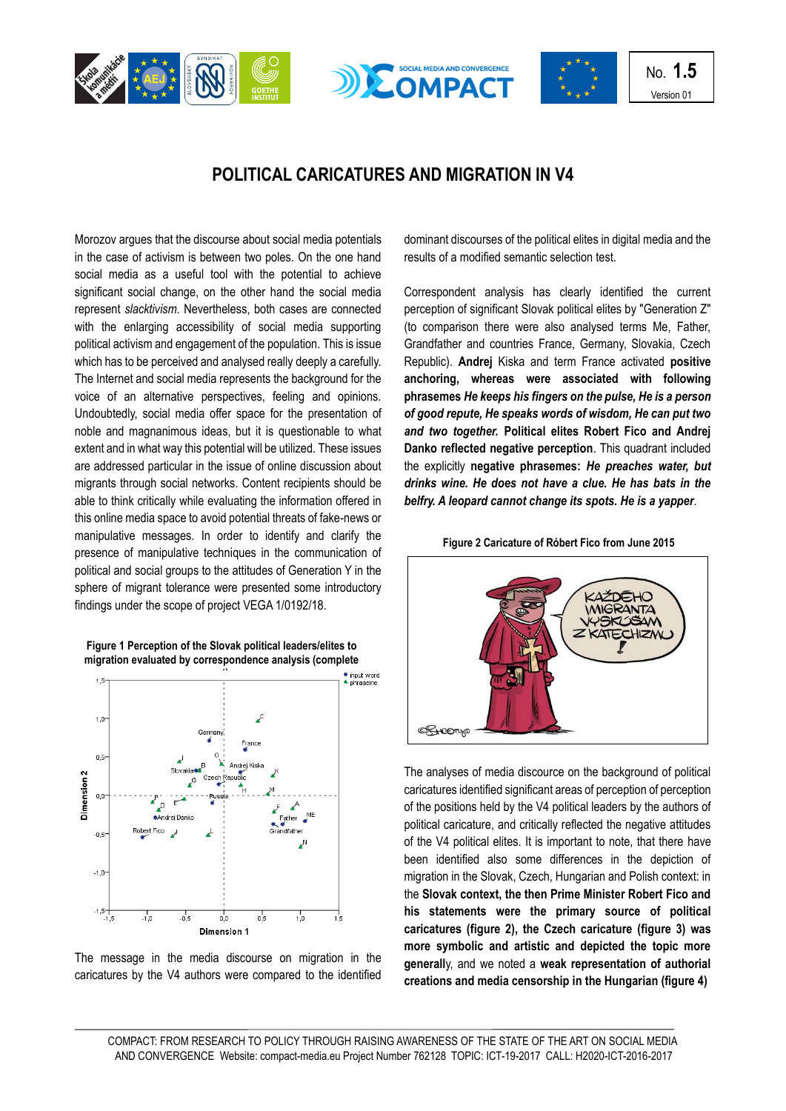





No. **1.5** Version 01

## **POLITICAL CARICATURES AND MIGRATION IN V4**

Morozov argues that the discourse about social media potentials in the case of activism is between two poles. On the one hand social media as a useful tool with the potential to achieve significant social change, on the other hand the social media represent *slacktivism*. Nevertheless, both cases are connected with the enlarging accessibility of social media supporting political activism and engagement of the population. This is issue which has to be perceived and analysed really deeply a carefully. The Internet and social media represents the background for the voice of an alternative perspectives, feeling and opinions. Undoubtedly, social media offer space for the presentation of noble and magnanimous ideas, but it is questionable to what extent and in what way this potential will be utilized. These issues are addressed particular in the issue of online discussion about migrants through social networks. Content recipients should be able to think critically while evaluating the information offered in this online media space to avoid potential threats of fake-news or manipulative messages. In order to identify and clarify the presence of manipulative techniques in the communication of political and social groups to the attitudes of Generation Y in the sphere of migrant tolerance were presented some introductory findings under the scope of project VEGA 1/0192/18.





The message in the media discourse on migration in the caricatures by the V4 authors were compared to the identified dominant discourses of the political elites in digital media and the results of a modified semantic selection test.

Correspondent analysis has clearly identified the current perception of significant Slovak political elites by "Generation Z" (to comparison there were also analysed terms Me, Father, Grandfather and countries France, Germany, Slovakia, Czech Republic). **Andrej** Kiska and term France activated **positive anchoring, whereas were associated with following phrasemes** *He keeps his fingers on the pulse, He is a person of good repute, He speaks words of wisdom, He can put two and two together.* **Political elites Robert Fico and Andrej Danko reflected negative perception**. This quadrant included the explicitly **negative phrasemes:** *He preaches water, but drinks wine. He does not have a clue. He has bats in the belfry. A leopard cannot change its spots. He is a yapper.* 





The analyses of media discource on the background of political caricatures identified significant areas of perception of perception of the positions held by the V4 political leaders by the authors of political caricature, and critically reflected the negative attitudes of the V4 political elites. It is important to note, that there have been identified also some differences in the depiction of migration in the Slovak, Czech, Hungarian and Polish context: in the **Slovak context, the then Prime Minister Robert Fico and his statements were the primary source of political caricatures (figure 2), the Czech caricature (figure 3) was more symbolic and artistic and depicted the topic more generall**y, and we noted a **weak representation of authorial creations and media censorship in the Hungarian (figure 4)**